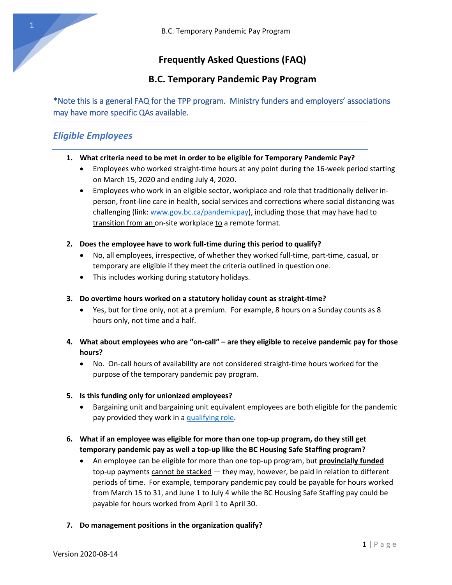# **Frequently Asked Questions (FAQ)**

## **B.C. Temporary Pandemic Pay Program**

\*Note this is a general FAQ for the TPP program. Ministry funders and employers' associations may have more specific QAs available.

## *Eligible Employees*

- **1. What criteria need to be met in order to be eligible for Temporary Pandemic Pay?**
	- Employees who worked straight-time hours at any point during the 16-week period starting on March 15, 2020 and ending July 4, 2020.
	- Employees who work in an eligible sector, workplace and role that traditionally deliver inperson, front-line care in health, social services and corrections where social distancing was challenging (link[: www.gov.bc.ca/pandemicpay\)](http://www.gov.bc.ca/pandemicpay), including those that may have had to transition from an on-site workplace to a remote format.
- **2. Does the employee have to work full-time during this period to qualify?**
	- No, all employees, irrespective, of whether they worked full-time, part-time, casual, or temporary are eligible if they meet the criteria outlined in question one.
	- This includes working during statutory holidays.
- **3. Do overtime hours worked on a statutory holiday count as straight-time?**
	- Yes, but for time only, not at a premium. For example, 8 hours on a Sunday counts as 8 hours only, not time and a half.
- **4. What about employees who are "on-call" – are they eligible to receive pandemic pay for those hours?**
	- No. On-call hours of availability are not considered straight-time hours worked for the purpose of the temporary pandemic pay program.
- **5. Is this funding only for unionized employees?**
	- Bargaining unit and bargaining unit equivalent employees are both eligible for the pandemic pay provided they work in a [qualifying role.](https://www2.gov.bc.ca/gov/content/safety/emergency-preparedness-response-recovery/covid-19-provincial-support/temporary-pandemic-pay#:~:text=Eligible%20front%2Dline%20workers%20can,or%20%242%2C240%20for%2016%20weeks.)
- **6. What if an employee was eligible for more than one top-up program, do they still get temporary pandemic pay as well a top-up like the BC Housing Safe Staffing program?**
	- An employee can be eligible for more than one top-up program, but **provincial**l**y funded** top-up payments cannot be stacked — they may, however, be paid in relation to different periods of time. For example, temporary pandemic pay could be payable for hours worked from March 15 to 31, and June 1 to July 4 while the BC Housing Safe Staffing pay could be payable for hours worked from April 1 to April 30.
- **7. Do management positions in the organization qualify?**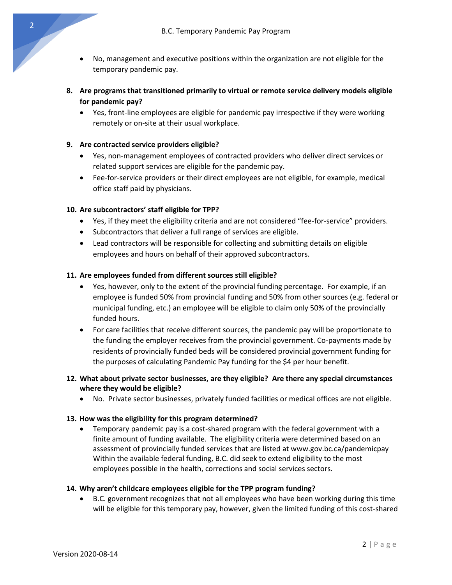- No, management and executive positions within the organization are not eligible for the temporary pandemic pay.
- **8. Are programs that transitioned primarily to virtual or remote service delivery models eligible for pandemic pay?**
	- Yes, front-line employees are eligible for pandemic pay irrespective if they were working remotely or on-site at their usual workplace.

#### **9. Are contracted service providers eligible?**

- Yes, non-management employees of contracted providers who deliver direct services or related support services are eligible for the pandemic pay.
- Fee-for-service providers or their direct employees are not eligible, for example, medical office staff paid by physicians.

### **10. Are subcontractors' staff eligible for TPP?**

- Yes, if they meet the eligibility criteria and are not considered "fee-for-service" providers.
- Subcontractors that deliver a full range of services are eligible.
- Lead contractors will be responsible for collecting and submitting details on eligible employees and hours on behalf of their approved subcontractors.

#### **11. Are employees funded from different sources still eligible?**

- Yes, however, only to the extent of the provincial funding percentage. For example, if an employee is funded 50% from provincial funding and 50% from other sources (e.g. federal or municipal funding, etc.) an employee will be eligible to claim only 50% of the provincially funded hours.
- For care facilities that receive different sources, the pandemic pay will be proportionate to the funding the employer receives from the provincial government. Co-payments made by residents of provincially funded beds will be considered provincial government funding for the purposes of calculating Pandemic Pay funding for the \$4 per hour benefit.

### **12. What about private sector businesses, are they eligible? Are there any special circumstances where they would be eligible?**

• No. Private sector businesses, privately funded facilities or medical offices are not eligible.

#### **13. How was the eligibility for this program determined?**

• Temporary pandemic pay is a cost-shared program with the federal government with a finite amount of funding available. The eligibility criteria were determined based on an assessment of provincially funded services that are listed at [www.gov.bc.ca/pandemicpay](http://www.gov.bc.ca/pandemicpay)  Within the available federal funding, B.C. did seek to extend eligibility to the most employees possible in the health, corrections and social services sectors.

#### **14. Why aren't childcare employees eligible for the TPP program funding?**

• B.C. government recognizes that not all employees who have been working during this time will be eligible for this temporary pay, however, given the limited funding of this cost-shared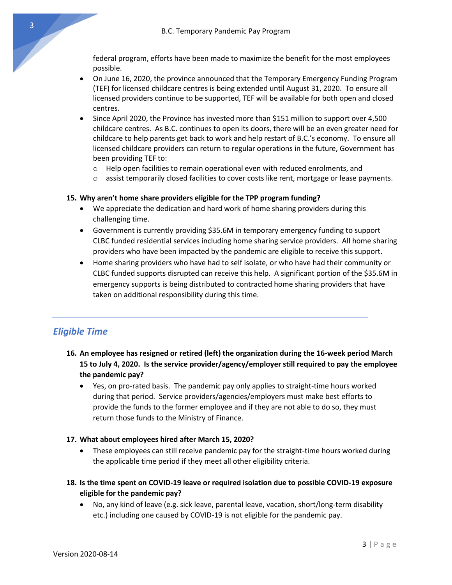federal program, efforts have been made to maximize the benefit for the most employees possible.

- On June 16, 2020, the province announced that the Temporary Emergency Funding Program (TEF) for licensed childcare centres is being extended until August 31, 2020. To ensure all licensed providers continue to be supported, TEF will be available for both open and closed centres.
- Since April 2020, the Province has invested more than \$151 million to support over 4,500 childcare centres. As B.C. continues to open its doors, there will be an even greater need for childcare to help parents get back to work and help restart of B.C.'s economy. To ensure all licensed childcare providers can return to regular operations in the future, Government has been providing TEF to:
	- o Help open facilities to remain operational even with reduced enrolments, and
	- $\circ$  assist temporarily closed facilities to cover costs like rent, mortgage or lease payments.

### **15. Why aren't home share providers eligible for the TPP program funding?**

- We appreciate the dedication and hard work of home sharing providers during this challenging time.
- Government is currently providing \$35.6M in temporary emergency funding to support CLBC funded residential services including home sharing service providers. All home sharing providers who have been impacted by the pandemic are eligible to receive this support.
- Home sharing providers who have had to self isolate, or who have had their community or CLBC funded supports disrupted can receive this help. A significant portion of the \$35.6M in emergency supports is being distributed to contracted home sharing providers that have taken on additional responsibility during this time.

## *Eligible Time*

- **16. An employee has resigned or retired (left) the organization during the 16-week period March 15 to July 4, 2020. Is the service provider/agency/employer still required to pay the employee the pandemic pay?**
	- Yes, on pro-rated basis. The pandemic pay only applies to straight-time hours worked during that period. Service providers/agencies/employers must make best efforts to provide the funds to the former employee and if they are not able to do so, they must return those funds to the Ministry of Finance.

#### **17. What about employees hired after March 15, 2020?**

- These employees can still receive pandemic pay for the straight-time hours worked during the applicable time period if they meet all other eligibility criteria.
- **18. Is the time spent on COVID-19 leave or required isolation due to possible COVID-19 exposure eligible for the pandemic pay?**
	- No, any kind of leave (e.g. sick leave, parental leave, vacation, short/long-term disability etc.) including one caused by COVID-19 is not eligible for the pandemic pay.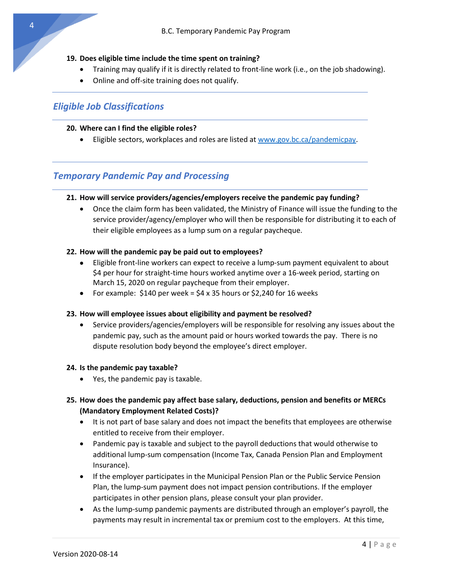#### **19. Does eligible time include the time spent on training?**

- Training may qualify if it is directly related to front-line work (i.e., on the job shadowing).
- Online and off-site training does not qualify.

## *Eligible Job Classifications*

#### **20. Where can I find the eligible roles?**

• Eligible sectors, workplaces and roles are listed at [www.gov.bc.ca/pandemicpay.](http://www.gov.bc.ca/pandemicpay)

## *Temporary Pandemic Pay and Processing*

### **21. How will service providers/agencies/employers receive the pandemic pay funding?**

• Once the claim form has been validated, the Ministry of Finance will issue the funding to the service provider/agency/employer who will then be responsible for distributing it to each of their eligible employees as a lump sum on a regular paycheque.

### **22. How will the pandemic pay be paid out to employees?**

- Eligible front-line workers can expect to receive a lump-sum payment equivalent to about \$4 per hour for straight-time hours worked anytime over a 16-week period, starting on March 15, 2020 on regular paycheque from their employer.
- For example:  $$140$  per week =  $$4 \times 35$  hours or  $$2,240$  for 16 weeks

#### **23. How will employee issues about eligibility and payment be resolved?**

• Service providers/agencies/employers will be responsible for resolving any issues about the pandemic pay, such as the amount paid or hours worked towards the pay. There is no dispute resolution body beyond the employee's direct employer.

#### **24. Is the pandemic pay taxable?**

• Yes, the pandemic pay is taxable.

### **25. How does the pandemic pay affect base salary, deductions, pension and benefits or MERCs (Mandatory Employment Related Costs)?**

- It is not part of base salary and does not impact the benefits that employees are otherwise entitled to receive from their employer.
- Pandemic pay is taxable and subject to the payroll deductions that would otherwise to additional lump-sum compensation (Income Tax, Canada Pension Plan and Employment Insurance).
- If the employer participates in the Municipal Pension Plan or the Public Service Pension Plan, the lump-sum payment does not impact pension contributions. If the employer participates in other pension plans, please consult your plan provider.
- As the lump-sump pandemic payments are distributed through an employer's payroll, the payments may result in incremental tax or premium cost to the employers. At this time,